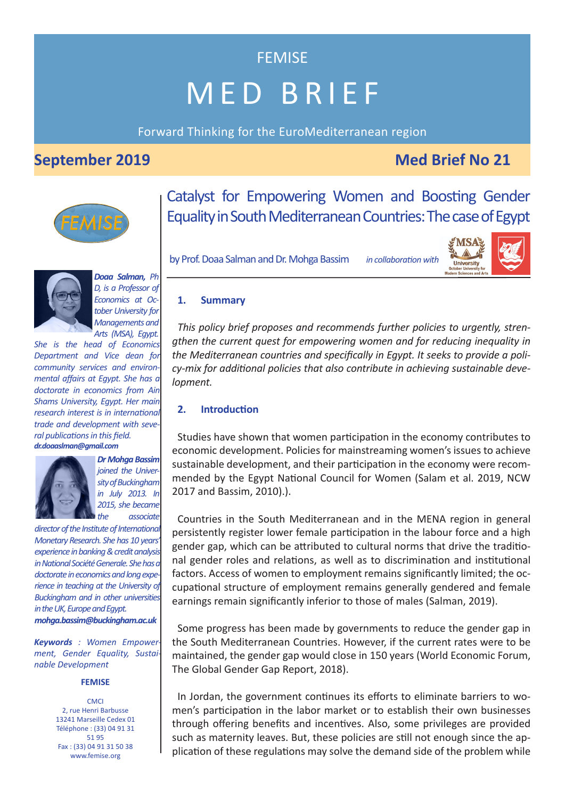# MED BRIEF

FEMISE

Forward Thinking for the EuroMediterranean region

# **September 2019** Med Brief No 21

toper<br>Irn Sc



Catalyst for Empowering Women and Boosting Gender Equality in South Mediterranean Countries: The case of Egypt

by Prof. Doaa Salman and Dr. Mohga Bassim







*Doaa Salman, Ph D, is a Professor of Economics at October University for Managements and Arts (MSA), Egypt.*

*She is the head of Economics Department and Vice dean for community services and environmental affairs at Egypt. She has a doctorate in economics from Ain Shams University, Egypt. Her main research interest is in international trade and development with several publications in this field. dr.doaaslman@gmail.com*



*Dr Mohga Bassim joined the University of Buckingham in July 2013. In 2015, she became the associate*

*director of the Institute of International Monetary Research. She has 10 years' experience in banking & credit analysis in National Société Generale. She has a doctorate in economics and long experience in teaching at the University of Buckingham and in other universities in the UK, Europe and Egypt. mohga.bassim@buckingham.ac.uk*

*Keywords : Women Empowerment, Gender Equality, Sustainable Development*

#### **FEMISE**

**CMCI** 2, rue Henri Barbusse 13241 Marseille Cedex 01 Téléphone : (33) 04 91 31 51 95 Fax : (33) 04 91 31 50 38 www.femise.org

*in collaboration with :*

#### **1. Summary**

*This policy brief proposes and recommends further policies to urgently, strengthen the current quest for empowering women and for reducing inequality in the Mediterranean countries and specifically in Egypt. It seeks to provide a policy-mix for additional policies that also contribute in achieving sustainable development.* 

### **2. Introduction**

Studies have shown that women participation in the economy contributes to economic development. Policies for mainstreaming women's issues to achieve sustainable development, and their participation in the economy were recommended by the Egypt National Council for Women (Salam et al. 2019, NCW 2017 and Bassim, 2010).).

Countries in the South Mediterranean and in the MENA region in general persistently register lower female participation in the labour force and a high gender gap, which can be attributed to cultural norms that drive the traditional gender roles and relations, as well as to discrimination and institutional factors. Access of women to employment remains significantly limited; the occupational structure of employment remains generally gendered and female earnings remain significantly inferior to those of males (Salman, 2019).

Some progress has been made by governments to reduce the gender gap in the South Mediterranean Countries. However, if the current rates were to be maintained, the gender gap would close in 150 years (World Economic Forum, The Global Gender Gap Report, 2018).

In Jordan, the government continues its efforts to eliminate barriers to women's participation in the labor market or to establish their own businesses through offering benefits and incentives. Also, some privileges are provided such as maternity leaves. But, these policies are still not enough since the application of these regulations may solve the demand side of the problem while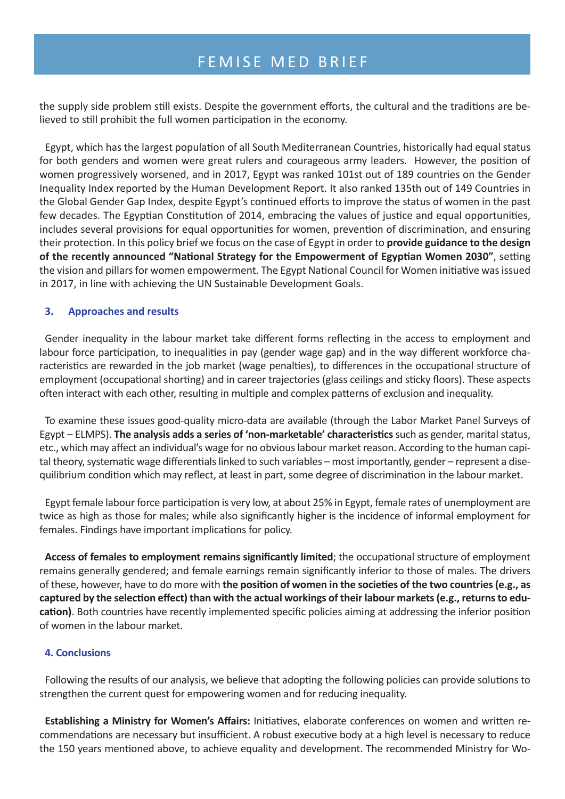the supply side problem still exists. Despite the government efforts, the cultural and the traditions are believed to still prohibit the full women participation in the economy.

Egypt, which has the largest population of all South Mediterranean Countries, historically had equal status for both genders and women were great rulers and courageous army leaders. However, the position of women progressively worsened, and in 2017, Egypt was ranked 101st out of 189 countries on the Gender Inequality Index reported by the Human Development Report. It also ranked 135th out of 149 Countries in the Global Gender Gap Index, despite Egypt's continued efforts to improve the status of women in the past few decades. The Egyptian Constitution of 2014, embracing the values of justice and equal opportunities, includes several provisions for equal opportunities for women, prevention of discrimination, and ensuring their protection. In this policy brief we focus on the case of Egypt in order to **provide guidance to the design of the recently announced "National Strategy for the Empowerment of Egyptian Women 2030"**, setting the vision and pillars for women empowerment. The Egypt National Council for Women initiative was issued in 2017, in line with achieving the UN Sustainable Development Goals.

## **3. Approaches and results**

Gender inequality in the labour market take different forms reflecting in the access to employment and labour force participation, to inequalities in pay (gender wage gap) and in the way different workforce characteristics are rewarded in the job market (wage penalties), to differences in the occupational structure of employment (occupational shorting) and in career trajectories (glass ceilings and sticky floors). These aspects often interact with each other, resulting in multiple and complex patterns of exclusion and inequality.

To examine these issues good-quality micro-data are available (through the Labor Market Panel Surveys of Egypt – ELMPS). **The analysis adds a series of 'non-marketable' characteristics**such as gender, marital status, etc., which may affect an individual's wage for no obvious labour market reason. According to the human capital theory, systematic wage differentials linked to such variables – most importantly, gender – represent a disequilibrium condition which may reflect, at least in part, some degree of discrimination in the labour market.

Egypt female labour force participation is very low, at about 25% in Egypt, female rates of unemployment are twice as high as those for males; while also significantly higher is the incidence of informal employment for females. Findings have important implications for policy.

**Access of females to employment remains significantly limited**; the occupational structure of employment remains generally gendered; and female earnings remain significantly inferior to those of males. The drivers of these, however, have to do more with **the position of women in the societies of the two countries(e.g., as** captured by the selection effect) than with the actual workings of their labour markets (e.g., returns to edu**cation)**. Both countries have recently implemented specific policies aiming at addressing the inferior position of women in the labour market.

### **4. Conclusions**

Following the results of our analysis, we believe that adopting the following policies can provide solutions to strengthen the current quest for empowering women and for reducing inequality.

**Establishing a Ministry for Women's Affairs:** Initiatives, elaborate conferences on women and written recommendations are necessary but insufficient. A robust executive body at a high level is necessary to reduce the 150 years mentioned above, to achieve equality and development. The recommended Ministry for Wo-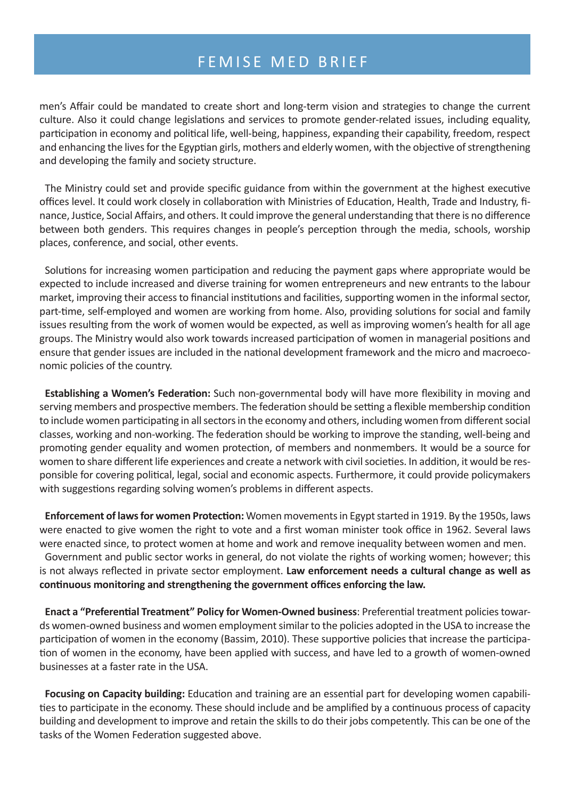men's Affair could be mandated to create short and long-term vision and strategies to change the current culture. Also it could change legislations and services to promote gender-related issues, including equality, participation in economy and political life, well-being, happiness, expanding their capability, freedom, respect and enhancing the lives for the Egyptian girls, mothers and elderly women, with the objective of strengthening and developing the family and society structure.

The Ministry could set and provide specific guidance from within the government at the highest executive offices level. It could work closely in collaboration with Ministries of Education, Health, Trade and Industry, finance, Justice, Social Affairs, and others. It could improve the general understanding that there is no difference between both genders. This requires changes in people's perception through the media, schools, worship places, conference, and social, other events.

Solutions for increasing women participation and reducing the payment gaps where appropriate would be expected to include increased and diverse training for women entrepreneurs and new entrants to the labour market, improving their access to financial institutions and facilities, supporting women in the informal sector, part-time, self-employed and women are working from home. Also, providing solutions for social and family issues resulting from the work of women would be expected, as well as improving women's health for all age groups. The Ministry would also work towards increased participation of women in managerial positions and ensure that gender issues are included in the national development framework and the micro and macroeconomic policies of the country.

**Establishing a Women's Federation:** Such non-governmental body will have more flexibility in moving and serving members and prospective members. The federation should be setting a flexible membership condition to include women participating in all sectors in the economy and others, including women from different social classes, working and non-working. The federation should be working to improve the standing, well-being and promoting gender equality and women protection, of members and nonmembers. It would be a source for women to share different life experiences and create a network with civil societies. In addition, it would be responsible for covering political, legal, social and economic aspects. Furthermore, it could provide policymakers with suggestions regarding solving women's problems in different aspects.

**Enforcement of lawsfor women Protection:** Women movements in Egypt started in 1919. By the 1950s, laws were enacted to give women the right to vote and a first woman minister took office in 1962. Several laws were enacted since, to protect women at home and work and remove inequality between women and men.

Government and public sector works in general, do not violate the rights of working women; however; this is not always reflected in private sector employment. **Law enforcement needs a cultural change as well as continuous monitoring and strengthening the government offices enforcing the law.**

**Enact a "Preferential Treatment" Policy for Women-Owned business**: Preferential treatment policies towards women-owned business and women employment similar to the policies adopted in the USA to increase the participation of women in the economy (Bassim, 2010). These supportive policies that increase the participation of women in the economy, have been applied with success, and have led to a growth of women-owned businesses at a faster rate in the USA.

**Focusing on Capacity building:** Education and training are an essential part for developing women capabilities to participate in the economy. These should include and be amplified by a continuous process of capacity building and development to improve and retain the skills to do their jobs competently. This can be one of the tasks of the Women Federation suggested above.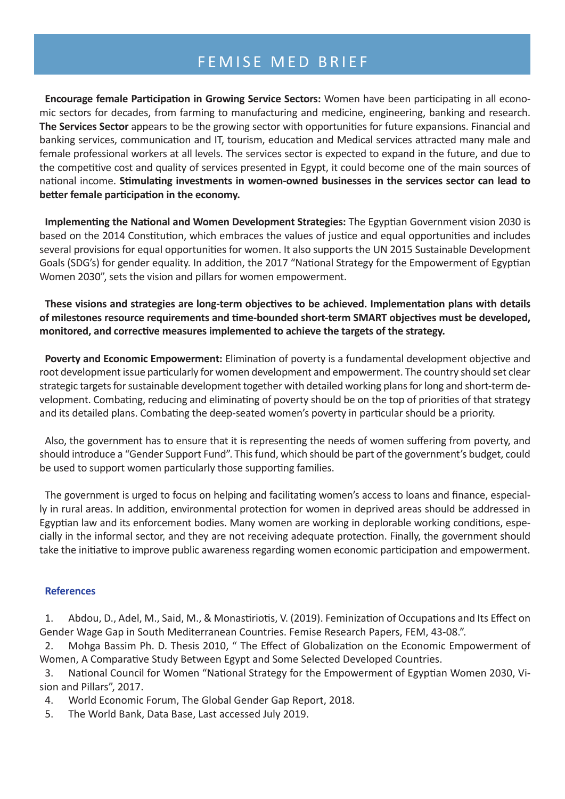**Encourage female Participation in Growing Service Sectors:** Women have been participating in all economic sectors for decades, from farming to manufacturing and medicine, engineering, banking and research. **The Services Sector** appears to be the growing sector with opportunities for future expansions. Financial and banking services, communication and IT, tourism, education and Medical services attracted many male and female professional workers at all levels. The services sector is expected to expand in the future, and due to the competitive cost and quality of services presented in Egypt, it could become one of the main sources of national income. **Stimulating investments in women-owned businesses in the services sector can lead to better female participation in the economy.**

**Implementing the National and Women Development Strategies:** The Egyptian Government vision 2030 is based on the 2014 Constitution, which embraces the values of justice and equal opportunities and includes several provisions for equal opportunities for women. It also supports the UN 2015 Sustainable Development Goals (SDG's) for gender equality. In addition, the 2017 "National Strategy for the Empowerment of Egyptian Women 2030", sets the vision and pillars for women empowerment.

**These visions and strategies are long-term objectives to be achieved. Implementation plans with details of milestones resource requirements and time-bounded short-term SMART objectives must be developed, monitored, and corrective measures implemented to achieve the targets of the strategy.**

**Poverty and Economic Empowerment:** Elimination of poverty is a fundamental development objective and root development issue particularly for women development and empowerment. The country should set clear strategic targets for sustainable development together with detailed working plans for long and short-term development. Combating, reducing and eliminating of poverty should be on the top of priorities of that strategy and its detailed plans. Combating the deep-seated women's poverty in particular should be a priority.

Also, the government has to ensure that it is representing the needs of women suffering from poverty, and should introduce a "Gender Support Fund". This fund, which should be part of the government's budget, could be used to support women particularly those supporting families.

The government is urged to focus on helping and facilitating women's access to loans and finance, especially in rural areas. In addition, environmental protection for women in deprived areas should be addressed in Egyptian law and its enforcement bodies. Many women are working in deplorable working conditions, especially in the informal sector, and they are not receiving adequate protection. Finally, the government should take the initiative to improve public awareness regarding women economic participation and empowerment.

### **References**

1. Abdou, D., Adel, M., Said, M., & Monastiriotis, V. (2019). Feminization of Occupations and Its Effect on Gender Wage Gap in South Mediterranean Countries. Femise Research Papers, FEM, 43-08.".

2. Mohga Bassim Ph. D. Thesis 2010, " The Effect of Globalization on the Economic Empowerment of Women, A Comparative Study Between Egypt and Some Selected Developed Countries.

3. National Council for Women "National Strategy for the Empowerment of Egyptian Women 2030, Vision and Pillars", 2017.

4. World Economic Forum, The Global Gender Gap Report, 2018.

5. The World Bank, Data Base, Last accessed July 2019.